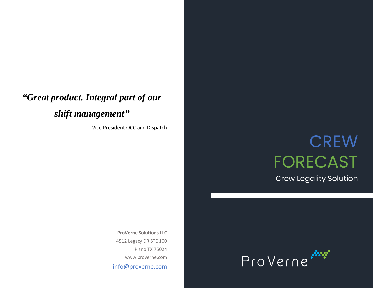## *"Great product. Integral part of our shift management"*

- Vice President OCC and Dispatch

# **CREW** FORECAST

Crew Legality Solution

**ProVerne Solutions LLC** 4512 Legacy DR STE 100 Plano TX 75024 [www.proverne.com](http://www.proverne.com/) info@proverne.com